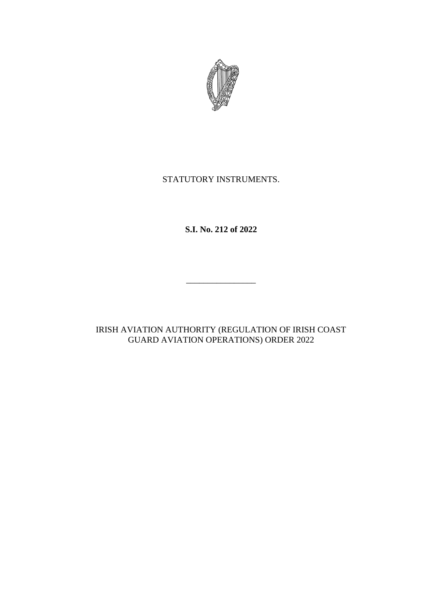

# STATUTORY INSTRUMENTS.

**S.I. No. 212 of 2022**

 $\overline{\phantom{a}}$  , where the contract of the contract of the contract of the contract of the contract of the contract of the contract of the contract of the contract of the contract of the contract of the contract of the contr

IRISH AVIATION AUTHORITY (REGULATION OF IRISH COAST GUARD AVIATION OPERATIONS) ORDER 2022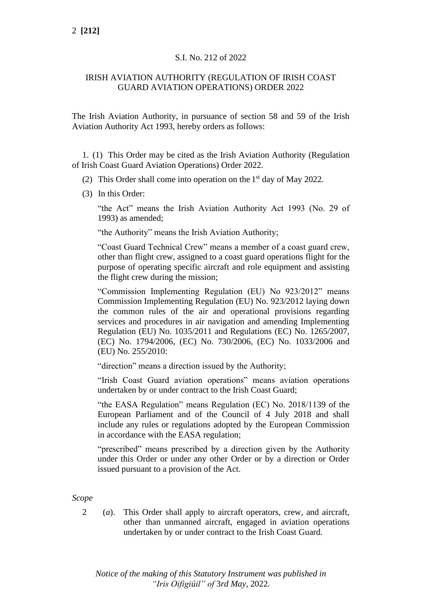# S.I. No. 212 of 2022

## IRISH AVIATION AUTHORITY (REGULATION OF IRISH COAST GUARD AVIATION OPERATIONS) ORDER 2022

The Irish Aviation Authority, in pursuance of section 58 and 59 of the Irish Aviation Authority Act 1993, hereby orders as follows:

1. (1) This Order may be cited as the Irish Aviation Authority (Regulation of Irish Coast Guard Aviation Operations) Order 2022.

- (2) This Order shall come into operation on the  $1<sup>st</sup>$  day of May 2022.
- (3) In this Order:

"the Act" means the Irish Aviation Authority Act 1993 (No. 29 of 1993) as amended;

"the Authority" means the Irish Aviation Authority;

"Coast Guard Technical Crew" means a member of a coast guard crew, other than flight crew, assigned to a coast guard operations flight for the purpose of operating specific aircraft and role equipment and assisting the flight crew during the mission;

"Commission Implementing Regulation (EU) No 923/2012" means Commission Implementing Regulation (EU) No. 923/2012 laying down the common rules of the air and operational provisions regarding services and procedures in air navigation and amending Implementing Regulation (EU) No. 1035/2011 and Regulations (EC) No. 1265/2007, (EC) No. 1794/2006, (EC) No. 730/2006, (EC) No. 1033/2006 and (EU) No. 255/2010:

"direction" means a direction issued by the Authority;

"Irish Coast Guard aviation operations" means aviation operations undertaken by or under contract to the Irish Coast Guard;

"the EASA Regulation" means Regulation (EC) No. 2018/1139 of the European Parliament and of the Council of 4 July 2018 and shall include any rules or regulations adopted by the European Commission in accordance with the EASA regulation;

"prescribed" means prescribed by a direction given by the Authority under this Order or under any other Order or by a direction or Order issued pursuant to a provision of the Act.

*Scope*

2 (*a*). This Order shall apply to aircraft operators, crew, and aircraft, other than unmanned aircraft, engaged in aviation operations undertaken by or under contract to the Irish Coast Guard.

*Notice of the making of this Statutory Instrument was published in "Iris Oifigiúil" of* 3*rd May,* 2022*.*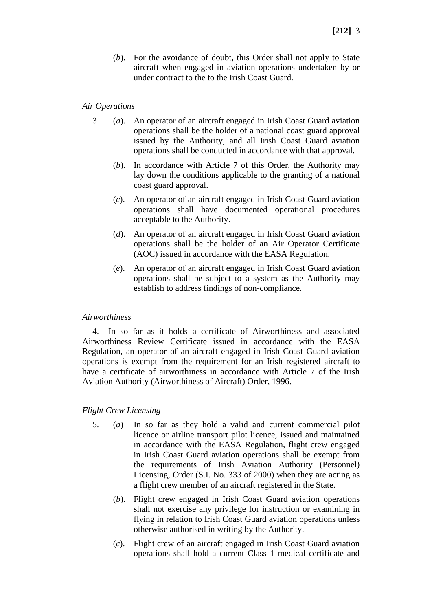(*b*). For the avoidance of doubt, this Order shall not apply to State aircraft when engaged in aviation operations undertaken by or under contract to the to the Irish Coast Guard.

#### *Air Operations*

- 3 (*a*). An operator of an aircraft engaged in Irish Coast Guard aviation operations shall be the holder of a national coast guard approval issued by the Authority, and all Irish Coast Guard aviation operations shall be conducted in accordance with that approval.
	- (*b*). In accordance with Article 7 of this Order, the Authority may lay down the conditions applicable to the granting of a national coast guard approval.
	- (*c*). An operator of an aircraft engaged in Irish Coast Guard aviation operations shall have documented operational procedures acceptable to the Authority.
	- (*d*). An operator of an aircraft engaged in Irish Coast Guard aviation operations shall be the holder of an Air Operator Certificate (AOC) issued in accordance with the EASA Regulation.
	- (*e*). An operator of an aircraft engaged in Irish Coast Guard aviation operations shall be subject to a system as the Authority may establish to address findings of non-compliance.

#### *Airworthiness*

4. In so far as it holds a certificate of Airworthiness and associated Airworthiness Review Certificate issued in accordance with the EASA Regulation, an operator of an aircraft engaged in Irish Coast Guard aviation operations is exempt from the requirement for an Irish registered aircraft to have a certificate of airworthiness in accordance with Article 7 of the Irish Aviation Authority (Airworthiness of Aircraft) Order, 1996.

# *Flight Crew Licensing*

- 5. (*a*) In so far as they hold a valid and current commercial pilot licence or airline transport pilot licence, issued and maintained in accordance with the EASA Regulation, flight crew engaged in Irish Coast Guard aviation operations shall be exempt from the requirements of Irish Aviation Authority (Personnel) Licensing, Order (S.I. No. 333 of 2000) when they are acting as a flight crew member of an aircraft registered in the State.
	- (*b*). Flight crew engaged in Irish Coast Guard aviation operations shall not exercise any privilege for instruction or examining in flying in relation to Irish Coast Guard aviation operations unless otherwise authorised in writing by the Authority.
	- (*c*). Flight crew of an aircraft engaged in Irish Coast Guard aviation operations shall hold a current Class 1 medical certificate and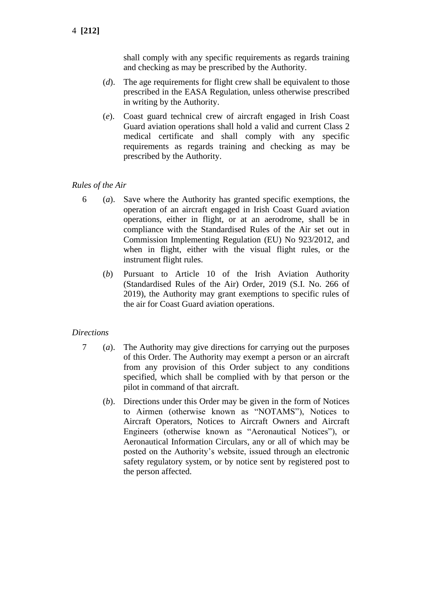shall comply with any specific requirements as regards training and checking as may be prescribed by the Authority.

- (*d*). The age requirements for flight crew shall be equivalent to those prescribed in the EASA Regulation, unless otherwise prescribed in writing by the Authority.
- (*e*). Coast guard technical crew of aircraft engaged in Irish Coast Guard aviation operations shall hold a valid and current Class 2 medical certificate and shall comply with any specific requirements as regards training and checking as may be prescribed by the Authority.

#### *Rules of the Air*

- 6 (*a*). Save where the Authority has granted specific exemptions, the operation of an aircraft engaged in Irish Coast Guard aviation operations, either in flight, or at an aerodrome, shall be in compliance with the Standardised Rules of the Air set out in Commission Implementing Regulation (EU) No 923/2012, and when in flight, either with the visual flight rules, or the instrument flight rules.
	- (*b*) Pursuant to Article 10 of the Irish Aviation Authority (Standardised Rules of the Air) Order, 2019 (S.I. No. 266 of 2019), the Authority may grant exemptions to specific rules of the air for Coast Guard aviation operations.

# *Directions*

- 7 (*a*). The Authority may give directions for carrying out the purposes of this Order. The Authority may exempt a person or an aircraft from any provision of this Order subject to any conditions specified, which shall be complied with by that person or the pilot in command of that aircraft.
	- (*b*). Directions under this Order may be given in the form of Notices to Airmen (otherwise known as "NOTAMS"), Notices to Aircraft Operators, Notices to Aircraft Owners and Aircraft Engineers (otherwise known as "Aeronautical Notices"), or Aeronautical Information Circulars, any or all of which may be posted on the Authority's website, issued through an electronic safety regulatory system, or by notice sent by registered post to the person affected.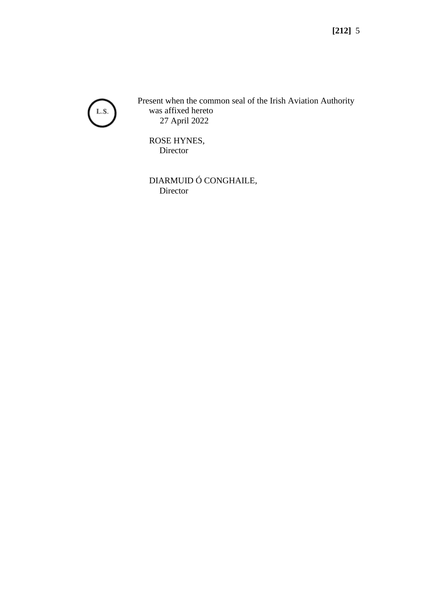

Present when the common seal of the Irish Aviation Authority was affixed hereto 27 April 2022

ROSE HYNES, Director

DIARMUID Ó CONGHAILE, Director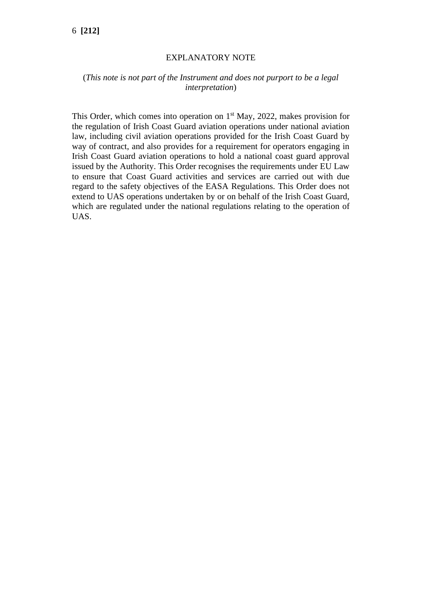#### EXPLANATORY NOTE

# (*This note is not part of the Instrument and does not purport to be a legal interpretation*)

This Order, which comes into operation on  $1<sup>st</sup>$  May, 2022, makes provision for the regulation of Irish Coast Guard aviation operations under national aviation law, including civil aviation operations provided for the Irish Coast Guard by way of contract, and also provides for a requirement for operators engaging in Irish Coast Guard aviation operations to hold a national coast guard approval issued by the Authority. This Order recognises the requirements under EU Law to ensure that Coast Guard activities and services are carried out with due regard to the safety objectives of the EASA Regulations. This Order does not extend to UAS operations undertaken by or on behalf of the Irish Coast Guard, which are regulated under the national regulations relating to the operation of UAS.